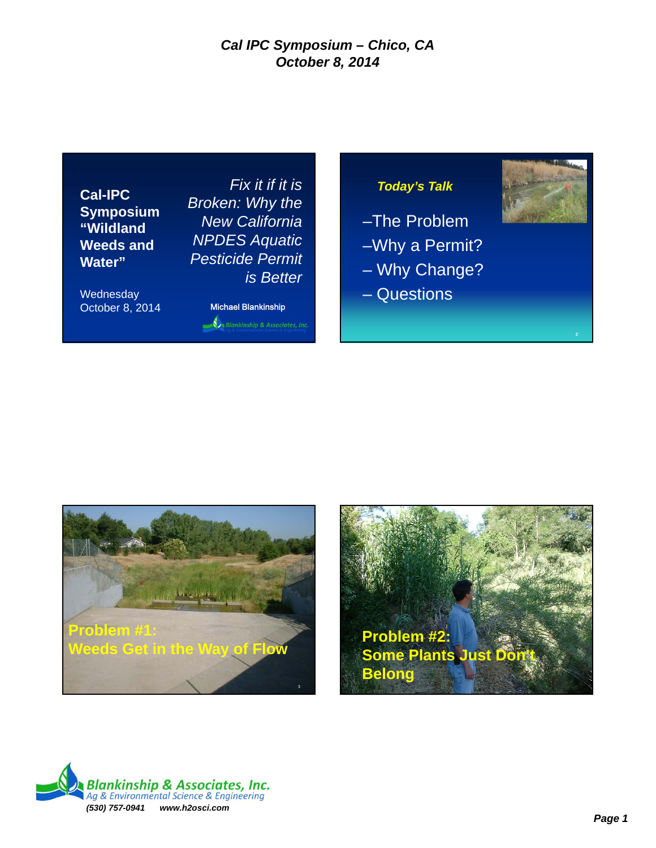**Cal-IPC Symposium "Wildland Weeds and Water"**

**Wednesday** October 8, 2014 Michael Blankinship

*Fix it if it is Broken: Why the New California NPDES Aquatic Pesticide Permit is Better*

Blankinship & Associates, Inc.

## *Today's Talk*

–The Problem –Why a Permit?

- Why Change?
- Questions





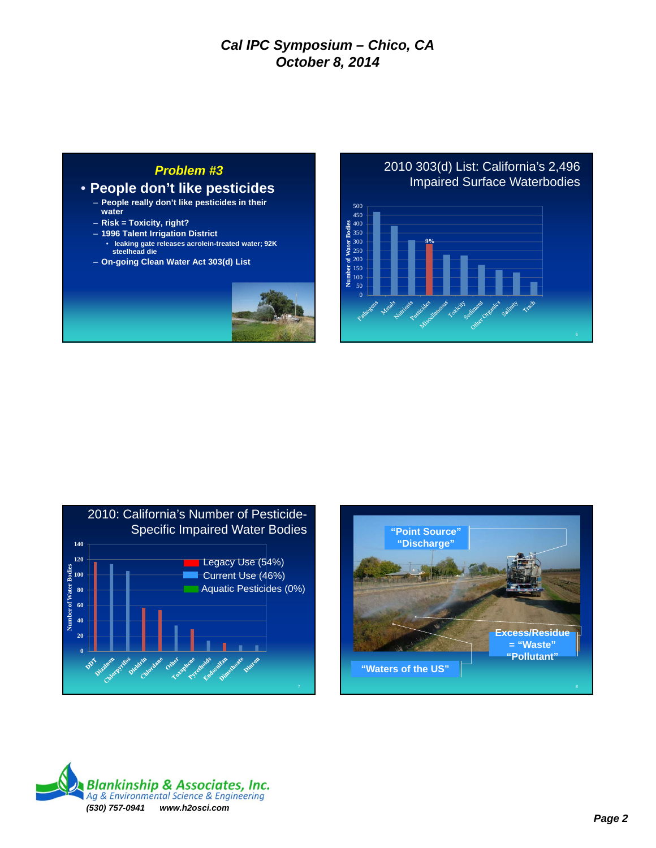### *Problem #3*

### • **People don't like pesticides**

- **People really don't like pesticides in their water**
- **Risk = Toxicity, right?**
- **1996 Talent Irrigation District**
- **leaking gate releases acrolein-treated water; 92K steelhead die**
- **On-going Clean Water Act 303(d) List**



### 2010 303(d) List: California's 2,496 Impaired Surface Waterbodies







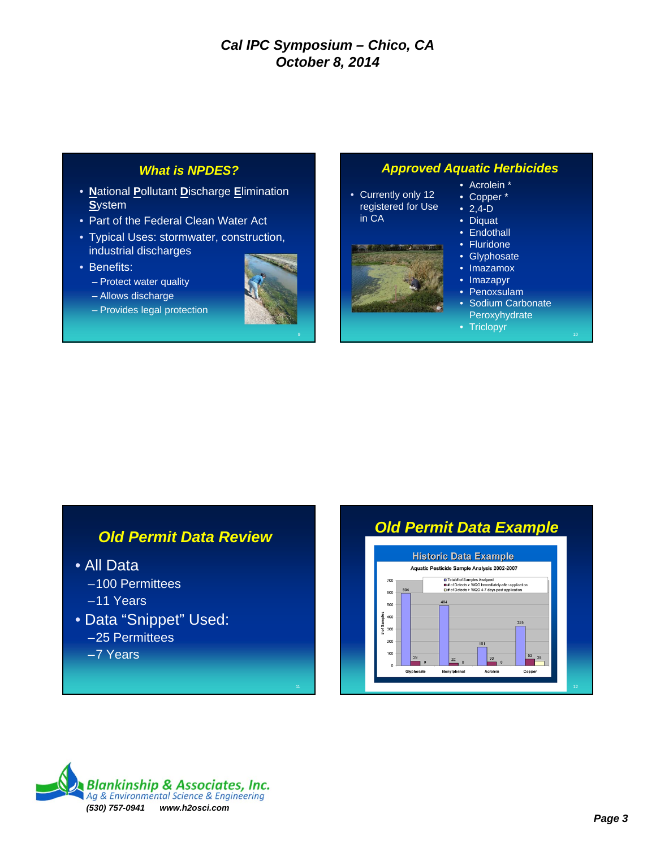### *What is NPDES?*

- **N**ational **P**ollutant **D**ischarge **E**limination **S**ystem
- Part of the Federal Clean Water Act
- Typical Uses: stormwater, construction, industrial discharges
- Benefits:
	- Protect water quality
	- Allows discharge
	- Provides legal protection



### *Approved Aquatic Herbicides*

• Currently only 12 registered for Use in CA



- Acrolein \*
- Copper \*
- $2,4-D$
- Diquat
- Endothall
- Fluridone
- Glyphosate
- Imazamox
- Imazapyr • Penoxsulam
- Sodium Carbonate
- **Peroxyhydrate**
- Triclopyr

# *Old Permit Data Review*

- All Data
	- –100 Permittees
	- –11 Years
- Data "Snippet" Used: –25 Permittees
	- –7 Years





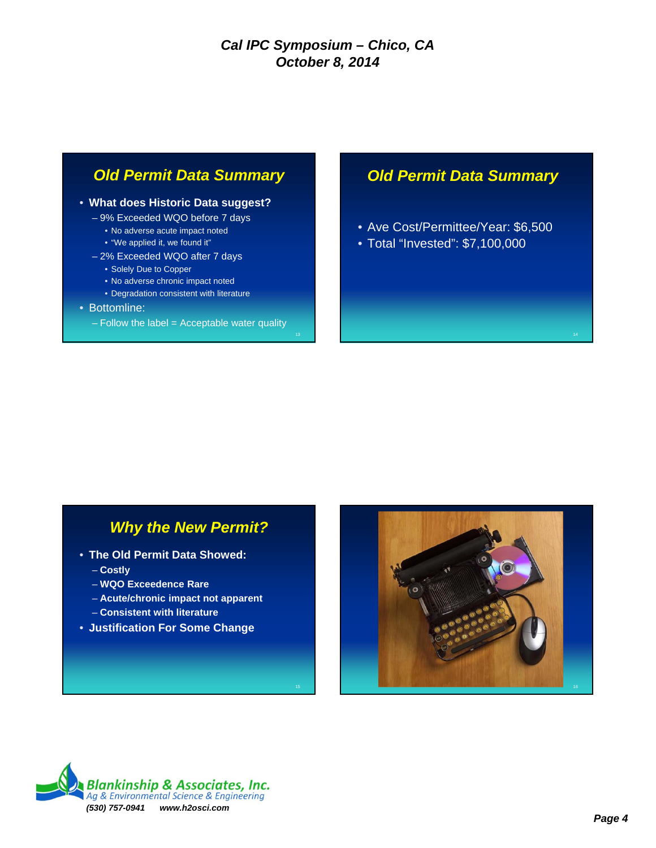# *Old Permit Data Summary*

#### • **What does Historic Data suggest?**

- 9% Exceeded WQO before 7 days
	- No adverse acute impact noted
	- "We applied it, we found it"
- 2% Exceeded WQO after 7 days
	- Solely Due to Copper
	- No adverse chronic impact noted
	- Degradation consistent with literature

#### • Bottomline:

 $-$  Follow the label = Acceptable water quality

# *Old Permit Data Summary*

- Ave Cost/Permittee/Year: \$6,500
- Total "Invested": \$7,100,000

# *Why the New Permit?*

- **The Old Permit Data Showed:**
	- **Costly**
	- **WQO Exceedence Rare**
	- **Acute/chronic impact not apparent**
	- **Consistent with literature**
- **Justification For Some Change**



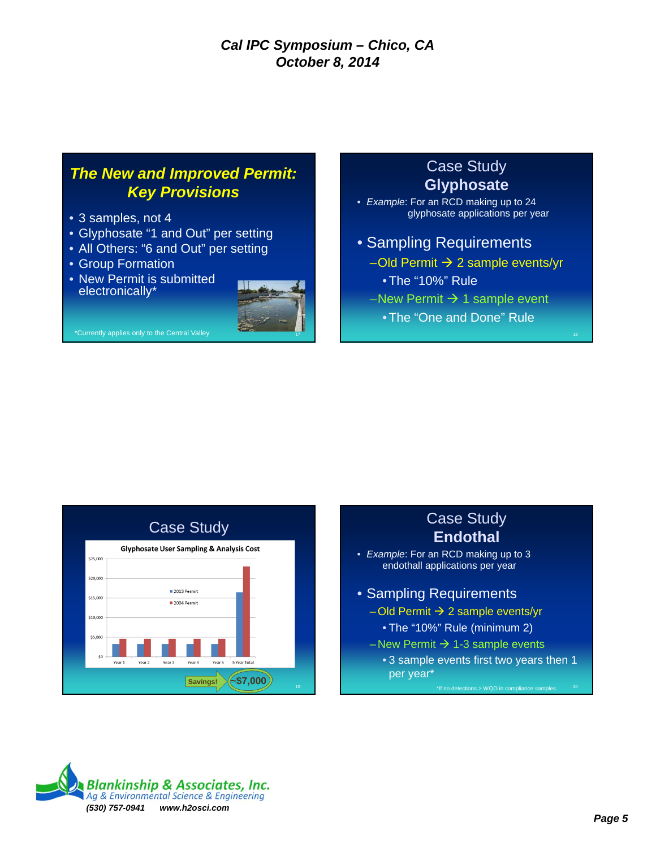# *The New and Improved Permit: Key Provisions*

- 3 samples, not 4
- Glyphosate "1 and Out" per setting
- All Others: "6 and Out" per setting
- Group Formation
- New Permit is submitted electronically\*



\*Currently applies only to the Central Valley

# • *Example*: For an RCD making up to 24 glyphosate applications per year • Sampling Requirements

Case Study **Glyphosate**

- $-$ Old Permit  $\rightarrow$  2 sample events/yr •The "10%" Rule
- –New Permit  $\rightarrow$  1 sample event
	- •The "One and Done" Rule



# Case Study **Endothal**

- *Example*: For an RCD making up to 3 endothall applications per year
- Sampling Requirements  $-$  Old Permit  $\rightarrow$  2 sample events/yr
	- The "10%" Rule (minimum 2)
	- New Permit  $\rightarrow$  1-3 sample events
		- 3 sample events first two years then 1 per year\*

\*If no detections > WQO in compliance samples.  $20$ 

**Blankinship & Associates, Inc.** Ag & Environmental Science & Engineering *(530) 757-0941 www.h2osci.com*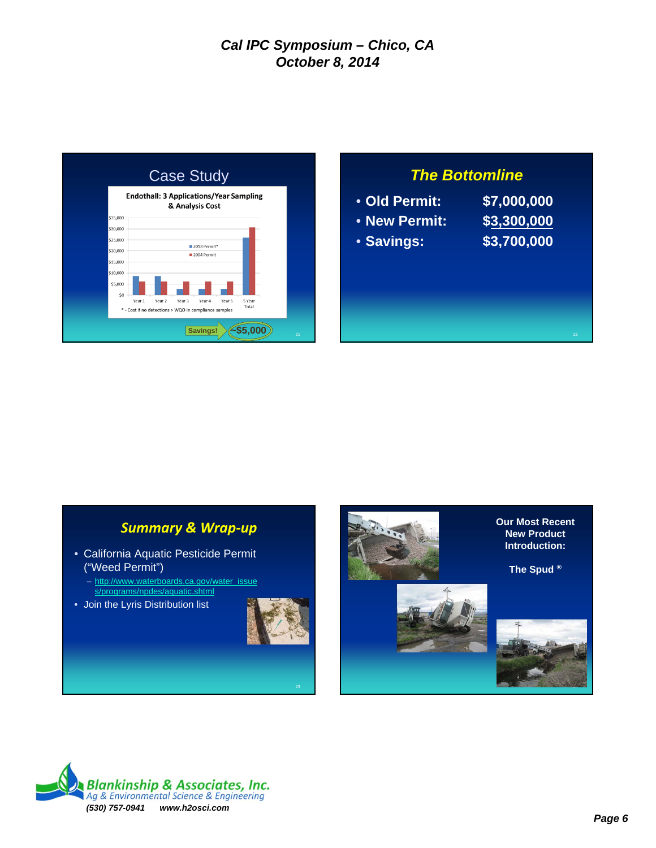

# *The Bottomline*

- **Old Permit: \$7,000,000** • **New Permit: \$3,300,000** • **Savings: \$3,700,000**
- 
- 

# *Summary & Wrap‐up*

- California Aquatic Pesticide Permit ("Weed Permit")
	- http://www.waterboards.ca.gov/water\_issue s/programs/npdes/aquatic.shtml
- Join the Lyris Distribution list







**The Spud ®**